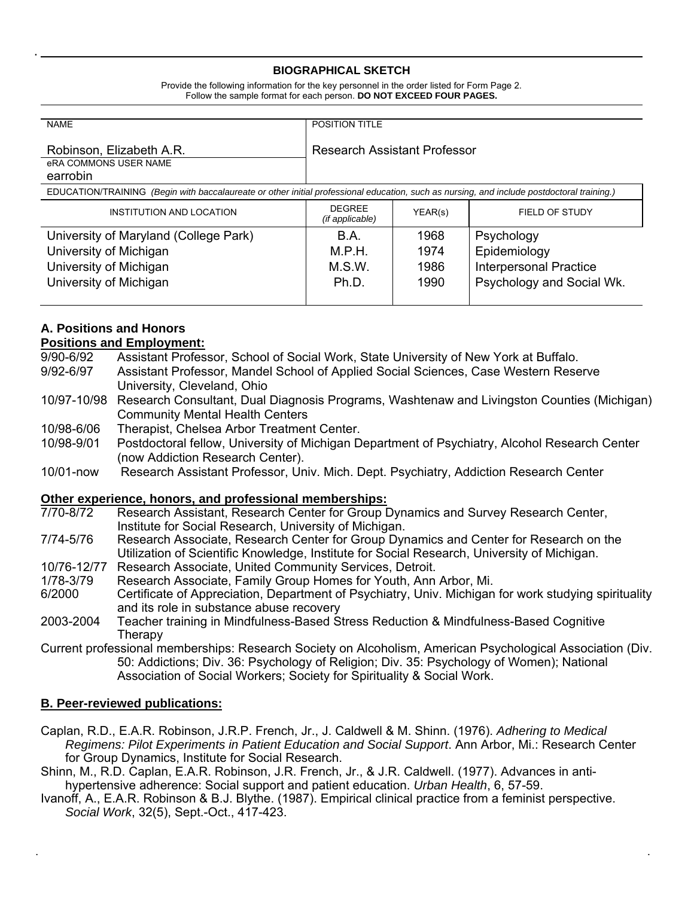#### **BIOGRAPHICAL SKETCH**

Provide the following information for the key personnel in the order listed for Form Page 2. Follow the sample format for each person. **DO NOT EXCEED FOUR PAGES.**

| <b>NAME</b>                                                                                                                                | POSITION TITLE                   |         |                               |
|--------------------------------------------------------------------------------------------------------------------------------------------|----------------------------------|---------|-------------------------------|
| Robinson, Elizabeth A.R.<br>eRA COMMONS USER NAME<br>earrobin                                                                              | Research Assistant Professor     |         |                               |
| EDUCATION/TRAINING (Begin with baccalaureate or other initial professional education, such as nursing, and include postdoctoral training.) |                                  |         |                               |
| INSTITUTION AND LOCATION                                                                                                                   | <b>DEGREE</b><br>(if applicable) | YEAR(s) | FIELD OF STUDY                |
| University of Maryland (College Park)                                                                                                      | B.A.                             | 1968    | Psychology                    |
| University of Michigan                                                                                                                     | M.P.H.                           | 1974    | Epidemiology                  |
| University of Michigan                                                                                                                     | M.S.W.                           | 1986    | <b>Interpersonal Practice</b> |
| University of Michigan                                                                                                                     | Ph.D.                            | 1990    | Psychology and Social Wk.     |

# **A. Positions and Honors**

#### **Positions and Employment:**

- 9/90-6/92 Assistant Professor, School of Social Work, State University of New York at Buffalo.
- 9/92-6/97 Assistant Professor, Mandel School of Applied Social Sciences, Case Western Reserve University, Cleveland, Ohio
- 10/97-10/98 Research Consultant, Dual Diagnosis Programs, Washtenaw and Livingston Counties (Michigan) Community Mental Health Centers
- 10/98-6/06 Therapist, Chelsea Arbor Treatment Center.
- 10/98-9/01 Postdoctoral fellow, University of Michigan Department of Psychiatry, Alcohol Research Center (now Addiction Research Center).
- 10/01-now Research Assistant Professor, Univ. Mich. Dept. Psychiatry, Addiction Research Center

## **Other experience, honors, and professional memberships:**

- 7/70-8/72 Research Assistant, Research Center for Group Dynamics and Survey Research Center, Institute for Social Research, University of Michigan.
- 7/74-5/76 Research Associate, Research Center for Group Dynamics and Center for Research on the Utilization of Scientific Knowledge, Institute for Social Research, University of Michigan.
- 10/76-12/77 Research Associate, United Community Services, Detroit.
- 1/78-3/79 Research Associate, Family Group Homes for Youth, Ann Arbor, Mi.
- 6/2000 Certificate of Appreciation, Department of Psychiatry, Univ. Michigan for work studying spirituality and its role in substance abuse recovery
- 2003-2004 Teacher training in Mindfulness-Based Stress Reduction & Mindfulness-Based Cognitive Therapy
- Current professional memberships: Research Society on Alcoholism, American Psychological Association (Div. 50: Addictions; Div. 36: Psychology of Religion; Div. 35: Psychology of Women); National Association of Social Workers; Society for Spirituality & Social Work.

## **B. Peer-reviewed publications:**

Caplan, R.D., E.A.R. Robinson, J.R.P. French, Jr., J. Caldwell & M. Shinn. (1976). *Adhering to Medical Regimens: Pilot Experiments in Patient Education and Social Support*. Ann Arbor, Mi.: Research Center for Group Dynamics, Institute for Social Research.

- Shinn, M., R.D. Caplan, E.A.R. Robinson, J.R. French, Jr., & J.R. Caldwell. (1977). Advances in antihypertensive adherence: Social support and patient education. *Urban Health*, 6, 57-59.
- Ivanoff, A., E.A.R. Robinson & B.J. Blythe. (1987). Empirical clinical practice from a feminist perspective. *Social Work*, 32(5), Sept.-Oct., 417-423.